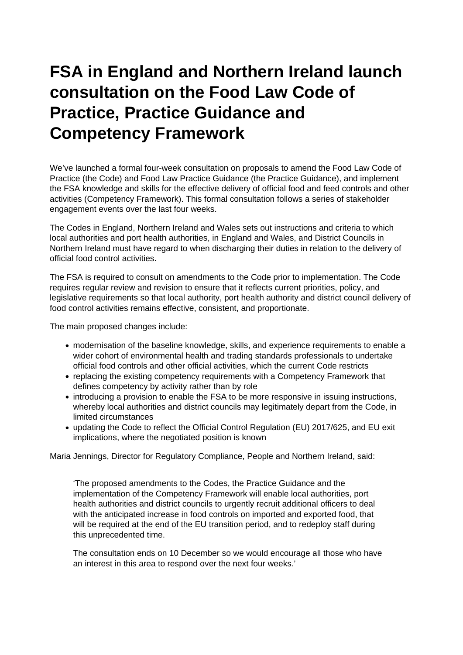## **FSA in England and Northern Ireland launch consultation on the Food Law Code of Practice, Practice Guidance and Competency Framework**

We've launched a formal four-week consultation on proposals to amend the Food Law Code of Practice (the Code) and Food Law Practice Guidance (the Practice Guidance), and implement the FSA knowledge and skills for the effective delivery of official food and feed controls and other activities (Competency Framework). This formal consultation follows a series of stakeholder engagement events over the last four weeks.

The Codes in England, Northern Ireland and Wales sets out instructions and criteria to which local authorities and port health authorities, in England and Wales, and District Councils in Northern Ireland must have regard to when discharging their duties in relation to the delivery of official food control activities.

The FSA is required to consult on amendments to the Code prior to implementation. The Code requires regular review and revision to ensure that it reflects current priorities, policy, and legislative requirements so that local authority, port health authority and district council delivery of food control activities remains effective, consistent, and proportionate.

The main proposed changes include:

- modernisation of the baseline knowledge, skills, and experience requirements to enable a wider cohort of environmental health and trading standards professionals to undertake official food controls and other official activities, which the current Code restricts
- replacing the existing competency requirements with a Competency Framework that defines competency by activity rather than by role
- introducing a provision to enable the FSA to be more responsive in issuing instructions, whereby local authorities and district councils may legitimately depart from the Code, in limited circumstances
- updating the Code to reflect the Official Control Regulation (EU) 2017/625, and EU exit implications, where the negotiated position is known

Maria Jennings, Director for Regulatory Compliance, People and Northern Ireland, said:

'The proposed amendments to the Codes, the Practice Guidance and the implementation of the Competency Framework will enable local authorities, port health authorities and district councils to urgently recruit additional officers to deal with the anticipated increase in food controls on imported and exported food, that will be required at the end of the EU transition period, and to redeploy staff during this unprecedented time.

The consultation ends on 10 December so we would encourage all those who have an interest in this area to respond over the next four weeks.'